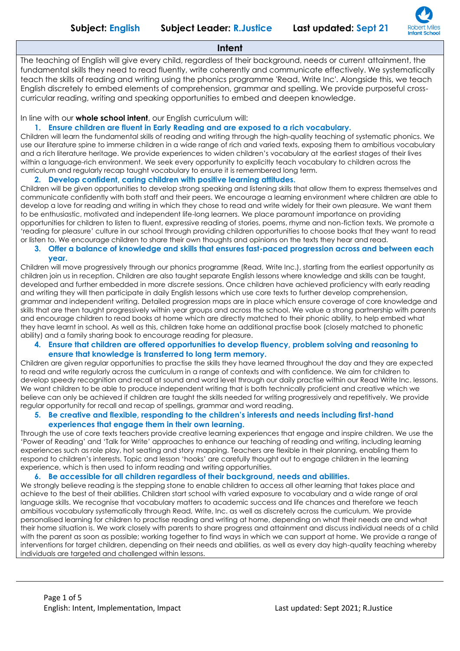

## **Intent**

The teaching of English will give every child, regardless of their background, needs or current attainment, the fundamental skills they need to read fluently, write coherently and communicate effectively. We systematically teach the skills of reading and writing using the phonics programme 'Read, Write Inc'. Alongside this, we teach English discretely to embed elements of comprehension, grammar and spelling. We provide purposeful crosscurricular reading, writing and speaking opportunities to embed and deepen knowledge.

In line with our **whole school intent**, our English curriculum will:

## **1. Ensure children are fluent in Early Reading and are exposed to a rich vocabulary.**

Children will learn the fundamental skills of reading and writing through the high-quality teaching of systematic phonics. We use our literature spine to immerse children in a wide range of rich and varied texts, exposing them to ambitious vocabulary and a rich literature heritage. We provide experiences to widen children's vocabulary at the earliest stages of their lives within a language-rich environment. We seek every opportunity to explicitly teach vocabulary to children across the curriculum and regularly recap taught vocabulary to ensure it is remembered long term.

## **2. Develop confident, caring children with positive learning attitudes.**

Children will be given opportunities to develop strong speaking and listening skills that allow them to express themselves and communicate confidently with both staff and their peers. We encourage a learning environment where children are able to develop a love for reading and writing in which they chose to read and write widely for their own pleasure. We want them to be enthusiastic, motivated and independent life-long learners. We place paramount importance on providing opportunities for children to listen to fluent, expressive reading of stories, poems, rhyme and non-fiction texts. We promote a 'reading for pleasure' culture in our school through providing children opportunities to choose books that they want to read or listen to. We encourage children to share their own thoughts and opinions on the texts they hear and read.

### **3. Offer a balance of knowledge and skills that ensures fast-paced progression across and between each year.**

Children will move progressively through our phonics programme (Read, Write Inc.), starting from the earliest opportunity as children join us in reception. Children are also taught separate English lessons where knowledge and skills can be taught, developed and further embedded in more discrete sessions. Once children have achieved proficiency with early reading and writing they will then participate in daily English lessons which use core texts to further develop comprehension, grammar and independent writing. Detailed progression maps are in place which ensure coverage of core knowledge and skills that are then taught progressively within year groups and across the school. We value a strong partnership with parents and encourage children to read books at home which are directly matched to their phonic ability, to help embed what they have learnt in school. As well as this, children take home an additional practise book (closely matched to phonetic ability) and a family sharing book to encourage reading for pleasure.

## **4. Ensure that children are offered opportunities to develop fluency, problem solving and reasoning to ensure that knowledge is transferred to long term memory.**

Children are given regular opportunities to practise the skills they have learned throughout the day and they are expected to read and write regularly across the curriculum in a range of contexts and with confidence. We aim for children to develop speedy recognition and recall at sound and word level through our daily practise within our Read Write Inc. lessons. We want children to be able to produce independent writing that is both technically proficient and creative which we believe can only be achieved if children are taught the skills needed for writing progressively and repetitively. We provide regular opportunity for recall and recap of spellings, grammar and word reading.

## **5. Be creative and flexible, responding to the children's interests and needs including first-hand experiences that engage them in their own learning.**

Through the use of core texts teachers provide creative learning experiences that engage and inspire children. We use the 'Power of Reading' and 'Talk for Write' approaches to enhance our teaching of reading and writing, including learning experiences such as role play, hot seating and story mapping. Teachers are flexible in their planning, enabling them to respond to children's interests. Topic and lesson 'hooks' are carefully thought out to engage children in the learning experience, which is then used to inform reading and writing opportunities.

## **6. Be accessible for all children regardless of their background, needs and abilities.**

We strongly believe reading is the stepping stone to enable children to access all other learning that takes place and achieve to the best of their abilities. Children start school with varied exposure to vocabulary and a wide range of oral language skills. We recognise that vocabulary matters to academic success and life chances and therefore we teach ambitious vocabulary systematically through Read, Write, Inc. as well as discretely across the curriculum. We provide personalised learning for children to practise reading and writing at home, depending on what their needs are and what their home situation is. We work closely with parents to share progress and attainment and discuss individual needs of a child with the parent as soon as possible; working together to find ways in which we can support at home. We provide a range of interventions for target children, depending on their needs and abilities, as well as every day high-quality teaching whereby individuals are targeted and challenged within lessons.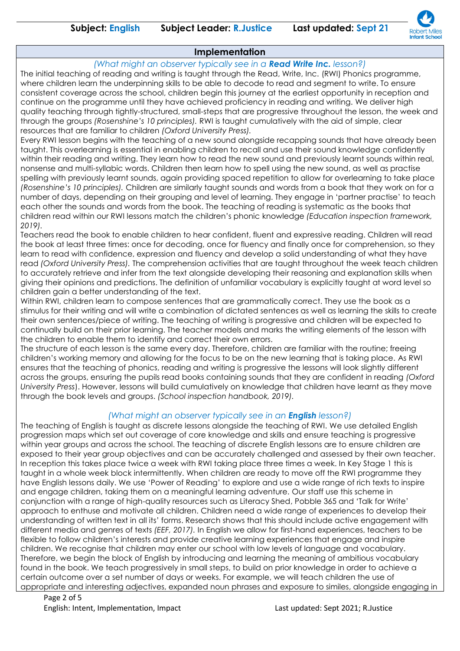

# **Implementation**

*(What might an observer typically see in a Read Write Inc. lesson?)* The initial teaching of reading and writing is taught through the Read, Write, Inc. (RWI) Phonics programme, where children learn the underpinning skills to be able to decode to read and segment to write. To ensure consistent coverage across the school, children begin this journey at the earliest opportunity in reception and continue on the programme until they have achieved proficiency in reading and writing. We deliver high quality teaching through tightly-structured, small-steps that are progressive throughout the lesson, the week and through the groups *(Rosenshine's 10 principles).* RWI is taught cumulatively with the aid of simple, clear resources that are familiar to children *(Oxford University Press).*

Every RWI lesson begins with the teaching of a new sound alongside recapping sounds that have already been taught. This overlearning is essential in enabling children to recall and use their sound knowledge confidently within their reading and writing. They learn how to read the new sound and previously learnt sounds within real, nonsense and multi-syllabic words. Children then learn how to spell using the new sound, as well as practise spelling with previously learnt sounds, again providing spaced repetition to allow for overlearning to take place *(Rosenshine's 10 principles).* Children are similarly taught sounds and words from a book that they work on for a number of days, depending on their grouping and level of learning. They engage in 'partner practise' to teach each other the sounds and words from the book. The teaching of reading is systematic as the books that children read within our RWI lessons match the children's phonic knowledge *(Education inspection framework, 2019).*

Teachers read the book to enable children to hear confident, fluent and expressive reading. Children will read the book at least three times: once for decoding, once for fluency and finally once for comprehension, so they learn to read with confidence, expression and fluency and develop a solid understanding of what they have read *(Oxford University Press).* The comprehension activities that are taught throughout the week teach children to accurately retrieve and infer from the text alongside developing their reasoning and explanation skills when giving their opinions and predictions. The definition of unfamiliar vocabulary is explicitly taught at word level so children gain a better understanding of the text.

Within RWI, children learn to compose sentences that are grammatically correct. They use the book as a stimulus for their writing and will write a combination of dictated sentences as well as learning the skills to create their own sentences/piece of writing. The teaching of writing is progressive and children will be expected to continually build on their prior learning. The teacher models and marks the writing elements of the lesson with the children to enable them to identify and correct their own errors.

The structure of each lesson is the same every day. Therefore, children are familiar with the routine; freeing children's working memory and allowing for the focus to be on the new learning that is taking place. As RWI ensures that the teaching of phonics, reading and writing is progressive the lessons will look slightly different across the groups, ensuring the pupils read books containing sounds that they are confident in reading *(Oxford University Press*). However, lessons will build cumulatively on knowledge that children have learnt as they move through the book levels and groups. *(School inspection handbook, 2019).*

# *(What might an observer typically see in an English lesson?)*

The teaching of English is taught as discrete lessons alongside the teaching of RWI. We use detailed English progression maps which set out coverage of core knowledge and skills and ensure teaching is progressive within year groups and across the school. The teaching of discrete English lessons are to ensure children are exposed to their year group objectives and can be accurately challenged and assessed by their own teacher. In reception this takes place twice a week with RWI taking place three times a week. In Key Stage 1 this is taught in a whole week block intermittently. When children are ready to move off the RWI programme they have English lessons daily. We use 'Power of Reading' to explore and use a wide range of rich texts to inspire and engage children, taking them on a meaningful learning adventure. Our staff use this scheme in conjunction with a range of high-quality resources such as Literacy Shed, Pobble 365 and 'Talk for Write' approach to enthuse and motivate all children. Children need a wide range of experiences to develop their understanding of written text in all its' forms. Research shows that this should include active engagement with different media and genres of texts *(EEF, 2017).* In English we allow for first-hand experiences, teachers to be flexible to follow children's interests and provide creative learning experiences that engage and inspire children. We recognise that children may enter our school with low levels of language and vocabulary. Therefore, we begin the block of English by introducing and learning the meaning of ambitious vocabulary found in the book. We teach progressively in small steps, to build on prior knowledge in order to achieve a certain outcome over a set number of days or weeks. For example, we will teach children the use of appropriate and interesting adjectives, expanded noun phrases and exposure to similes, alongside engaging in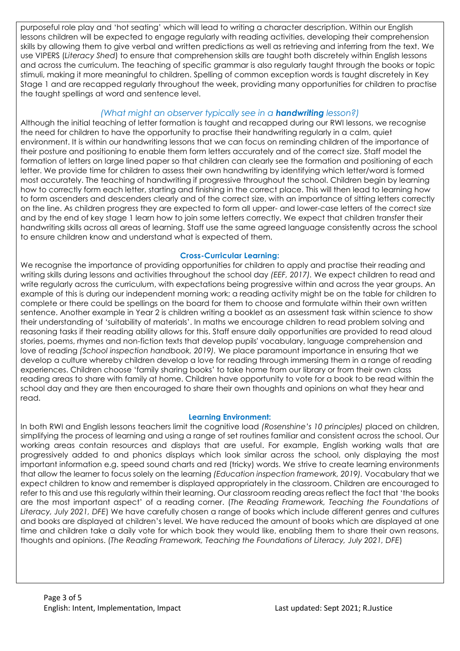purposeful role play and 'hot seating' which will lead to writing a character description. Within our English lessons children will be expected to engage regularly with reading activities, developing their comprehension skills by allowing them to give verbal and written predictions as well as retrieving and inferring from the text. We use VIPERS (*Literacy Shed*) to ensure that comprehension skills are taught both discretely within English lessons and across the curriculum. The teaching of specific grammar is also regularly taught through the books or topic stimuli, making it more meaningful to children. Spelling of common exception words is taught discretely in Key Stage 1 and are recapped regularly throughout the week, providing many opportunities for children to practise the taught spellings at word and sentence level.

# *(What might an observer typically see in a handwriting lesson?)*

Although the initial teaching of letter formation is taught and recapped during our RWI lessons, we recognise the need for children to have the opportunity to practise their handwriting regularly in a calm, quiet environment. It is within our handwriting lessons that we can focus on reminding children of the importance of their posture and positioning to enable them form letters accurately and of the correct size. Staff model the formation of letters on large lined paper so that children can clearly see the formation and positioning of each letter. We provide time for children to assess their own handwriting by identifying which letter/word is formed most accurately. The teaching of handwriting if progressive throughout the school. Children begin by learning how to correctly form each letter, starting and finishing in the correct place. This will then lead to learning how to form ascenders and descenders clearly and of the correct size, with an importance of sitting letters correctly on the line. As children progress they are expected to form all upper- and lower-case letters of the correct size and by the end of key stage 1 learn how to join some letters correctly. We expect that children transfer their handwriting skills across all areas of learning. Staff use the same agreed language consistently across the school to ensure children know and understand what is expected of them.

## **Cross-Curricular Learning:**

We recognise the importance of providing opportunities for children to apply and practise their reading and writing skills during lessons and activities throughout the school day *(EEF, 2017).* We expect children to read and write regularly across the curriculum, with expectations being progressive within and across the year groups. An example of this is during our independent morning work; a reading activity might be on the table for children to complete or there could be spellings on the board for them to choose and formulate within their own written sentence. Another example in Year 2 is children writing a booklet as an assessment task within science to show their understanding of 'suitability of materials'. In maths we encourage children to read problem solving and reasoning tasks if their reading ability allows for this. Staff ensure daily opportunities are provided to read aloud stories, poems, rhymes and non-fiction texts that develop pupils' vocabulary, language comprehension and love of reading *(School inspection handbook, 2019).* We place paramount importance in ensuring that we develop a culture whereby children develop a love for reading through immersing them in a range of reading experiences. Children choose 'family sharing books' to take home from our library or from their own class reading areas to share with family at home. Children have opportunity to vote for a book to be read within the school day and they are then encouraged to share their own thoughts and opinions on what they hear and read.

## **Learning Environment:**

In both RWI and English lessons teachers limit the cognitive load *(Rosenshine's 10 principles)* placed on children, simplifying the process of learning and using a range of set routines familiar and consistent across the school. Our working areas contain resources and displays that are useful. For example, English working walls that are progressively added to and phonics displays which look similar across the school, only displaying the most important information e.g. speed sound charts and red (tricky) words. We strive to create learning environments that allow the learner to focus solely on the learning *(Education inspection framework, 2019).* Vocabulary that we expect children to know and remember is displayed appropriately in the classroom. Children are encouraged to refer to this and use this regularly within their learning. Our classroom reading areas reflect the fact that 'the books are the most important aspect' of a reading corner. (*The Reading Framework, Teaching the Foundations of Literacy, July 2021, DFE*) We have carefully chosen a range of books which include different genres and cultures and books are displayed at children's level. We have reduced the amount of books which are displayed at one time and children take a daily vote for which book they would like, enabling them to share their own reasons, thoughts and opinions. (*The Reading Framework, Teaching the Foundations of Literacy, July 2021, DFE*)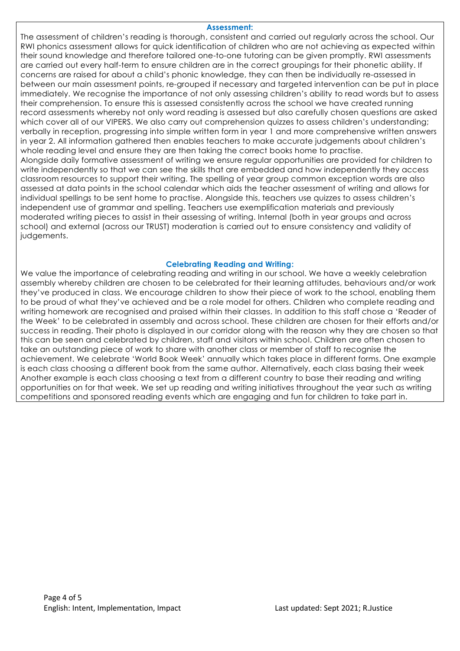#### **Assessment:**

The assessment of children's reading is thorough, consistent and carried out regularly across the school. Our RWI phonics assessment allows for quick identification of children who are not achieving as expected within their sound knowledge and therefore tailored one-to-one tutoring can be given promptly. RWI assessments are carried out every half-term to ensure children are in the correct groupings for their phonetic ability. If concerns are raised for about a child's phonic knowledge, they can then be individually re-assessed in between our main assessment points, re-grouped if necessary and targeted intervention can be put in place immediately. We recognise the importance of not only assessing children's ability to read words but to assess their comprehension. To ensure this is assessed consistently across the school we have created running record assessments whereby not only word reading is assessed but also carefully chosen questions are asked which cover all of our VIPERS. We also carry out comprehension quizzes to assess children's understanding; verbally in reception, progressing into simple written form in year 1 and more comprehensive written answers in year 2. All information gathered then enables teachers to make accurate judgements about children's whole reading level and ensure they are then taking the correct books home to practise. Alongside daily formative assessment of writing we ensure regular opportunities are provided for children to

write independently so that we can see the skills that are embedded and how independently they access classroom resources to support their writing. The spelling of year group common exception words are also assessed at data points in the school calendar which aids the teacher assessment of writing and allows for individual spellings to be sent home to practise. Alongside this, teachers use quizzes to assess children's independent use of grammar and spelling. Teachers use exemplification materials and previously moderated writing pieces to assist in their assessing of writing. Internal (both in year groups and across school) and external (across our TRUST) moderation is carried out to ensure consistency and validity of judgements.

### **Celebrating Reading and Writing:**

We value the importance of celebrating reading and writing in our school. We have a weekly celebration assembly whereby children are chosen to be celebrated for their learning attitudes, behaviours and/or work they've produced in class. We encourage children to show their piece of work to the school, enabling them to be proud of what they've achieved and be a role model for others. Children who complete reading and writing homework are recognised and praised within their classes. In addition to this staff chose a 'Reader of the Week' to be celebrated in assembly and across school. These children are chosen for their efforts and/or success in reading. Their photo is displayed in our corridor along with the reason why they are chosen so that this can be seen and celebrated by children, staff and visitors within school. Children are often chosen to take an outstanding piece of work to share with another class or member of staff to recognise the achievement. We celebrate 'World Book Week' annually which takes place in different forms. One example is each class choosing a different book from the same author. Alternatively, each class basing their week Another example is each class choosing a text from a different country to base their reading and writing opportunities on for that week. We set up reading and writing initiatives throughout the year such as writing competitions and sponsored reading events which are engaging and fun for children to take part in.